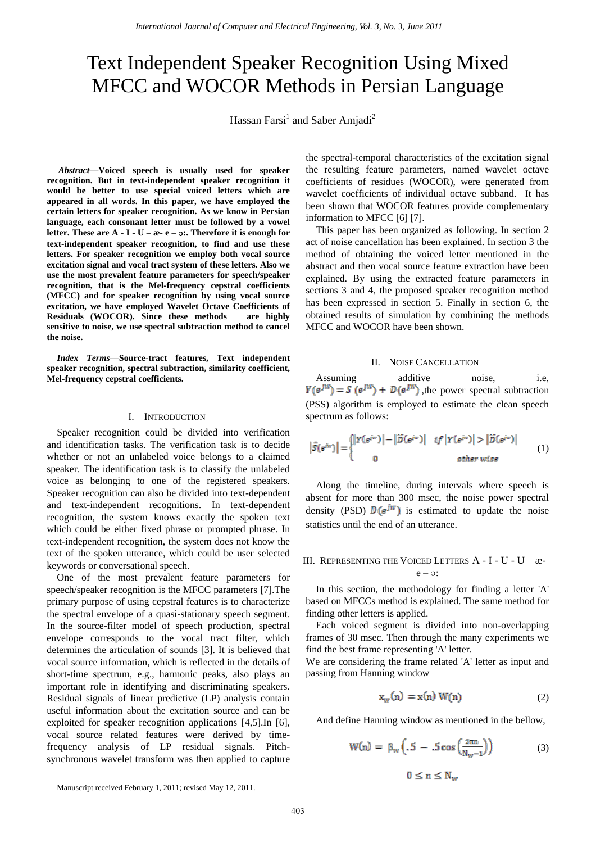# Text Independent Speaker Recognition Using Mixed MFCC and WOCOR Methods in Persian Language

Hassan Farsi<sup>1</sup> and Saber Amjadi<sup>2</sup>

*Abstract—***Voiced speech is usually used for speaker recognition. But in text-independent speaker recognition it would be better to use special voiced letters which are appeared in all words. In this paper, we have employed the certain letters for speaker recognition. As we know in Persian language, each consonant letter must be followed by a vowel letter. These are A - I - U – æ- e –** ɔ**:. Therefore it is enough for text-independent speaker recognition, to find and use these letters. For speaker recognition we employ both vocal source excitation signal and vocal tract system of these letters. Also we use the most prevalent feature parameters for speech/speaker recognition, that is the Mel-frequency cepstral coefficients (MFCC) and for speaker recognition by using vocal source excitation, we have employed Wavelet Octave Coefficients of Residuals (WOCOR). Since these methods are highly sensitive to noise, we use spectral subtraction method to cancel the noise.** 

*Index Terms***—Source-tract features, Text independent speaker recognition, spectral subtraction, similarity coefficient, Mel-frequency cepstral coefficients.** 

### I. INTRODUCTION

Speaker recognition could be divided into verification and identification tasks. The verification task is to decide whether or not an unlabeled voice belongs to a claimed speaker. The identification task is to classify the unlabeled voice as belonging to one of the registered speakers. Speaker recognition can also be divided into text-dependent and text-independent recognitions. In text-dependent recognition, the system knows exactly the spoken text which could be either fixed phrase or prompted phrase. In text-independent recognition, the system does not know the text of the spoken utterance, which could be user selected keywords or conversational speech.

One of the most prevalent feature parameters for speech/speaker recognition is the MFCC parameters [7].The primary purpose of using cepstral features is to characterize the spectral envelope of a quasi-stationary speech segment. In the source-filter model of speech production, spectral envelope corresponds to the vocal tract filter, which determines the articulation of sounds [3]. It is believed that vocal source information, which is reflected in the details of short-time spectrum, e.g., harmonic peaks, also plays an important role in identifying and discriminating speakers. Residual signals of linear predictive (LP) analysis contain useful information about the excitation source and can be exploited for speaker recognition applications [4,5].In [6], vocal source related features were derived by timefrequency analysis of LP residual signals. Pitchsynchronous wavelet transform was then applied to capture the spectral-temporal characteristics of the excitation signal the resulting feature parameters, named wavelet octave coefficients of residues (WOCOR), were generated from wavelet coefficients of individual octave subband. It has been shown that WOCOR features provide complementary information to MFCC [6] [7].

This paper has been organized as following. In section 2 act of noise cancellation has been explained. In section 3 the method of obtaining the voiced letter mentioned in the abstract and then vocal source feature extraction have been explained. By using the extracted feature parameters in sections 3 and 4, the proposed speaker recognition method has been expressed in section 5. Finally in section 6, the obtained results of simulation by combining the methods MFCC and WOCOR have been shown.

#### II. NOISE CANCELLATION

Assuming additive noise, i.e,  $Y(e^{jW}) = S(e^{jW}) + D(e^{jW})$ , the power spectral subtraction (PSS) algorithm is employed to estimate the clean speech spectrum as follows:

$$
\left|\hat{S}(e^{iw})\right| = \begin{cases} \left|Y(e^{iw})\right| - \left|\tilde{D}(e^{iw})\right| & \text{if } \left|Y(e^{iw})\right| > \left|\tilde{D}(e^{iw})\right| \\ 0 & \text{other wise} \end{cases} \tag{1}
$$

Along the timeline, during intervals where speech is absent for more than 300 msec, the noise power spectral density (PSD)  $D(e^{jw})$  is estimated to update the noise statistics until the end of an utterance.

## III. REPRESENTING THE VOICED LETTERS A - I - U - U – æ $e - \infty$ :

In this section, the methodology for finding a letter 'A' based on MFCCs method is explained. The same method for finding other letters is applied.

Each voiced segment is divided into non-overlapping frames of 30 msec. Then through the many experiments we find the best frame representing 'A' letter.

We are considering the frame related 'A' letter as input and passing from Hanning window

$$
\mathbf{x}_{\mathbf{w}}(\mathbf{n}) = \mathbf{x}(\mathbf{n}) \mathbf{W}(\mathbf{n}) \tag{2}
$$

And define Hanning window as mentioned in the bellow,

$$
W(n) = \beta_w \left( .5 - .5 \cos \left( \frac{2\pi n}{N_w - 1} \right) \right) \tag{3}
$$

$$
0 \le n \le N_w
$$

Manuscript received February 1, 2011; revised May 12, 2011.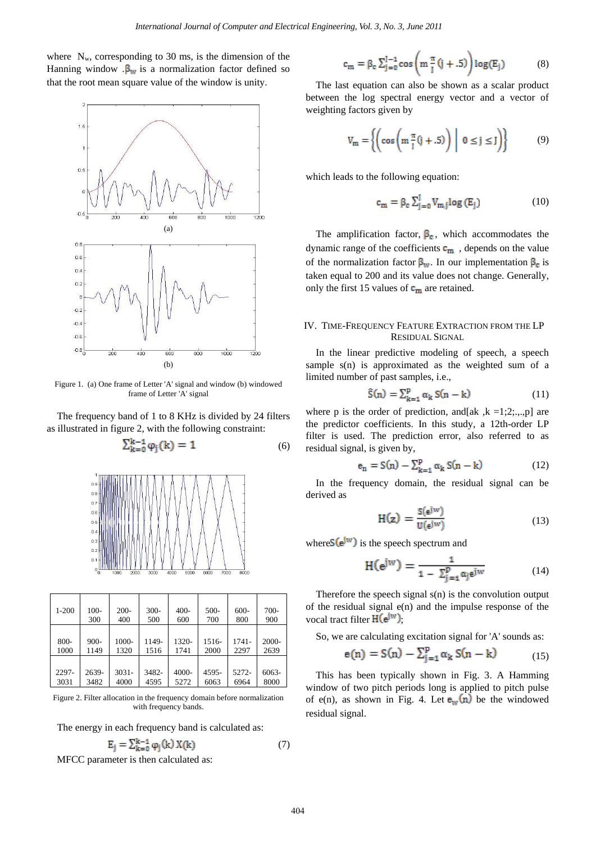where  $N_w$ , corresponding to 30 ms, is the dimension of the Hanning window  $\beta_w$  is a normalization factor defined so that the root mean square value of the window is unity.



Figure 1. (a) One frame of Letter 'A' signal and window (b) windowed frame of Letter 'A' signal

The frequency band of 1 to 8 KHz is divided by 24 filters as illustrated in figure 2, with the following constraint:

$$
\sum_{k=0}^{K-1} \varphi_j(k) = 1 \tag{6}
$$



| $1 - 200$ | $100-$  | $200 -$  | $300 -$ | $400 -$ | $500-$ | $600 -$  | $700-$ |
|-----------|---------|----------|---------|---------|--------|----------|--------|
|           | 300     | 400      | 500     | 600     | 700    | 800      | 900    |
| 800-      | $900 -$ | 1000-    | 1149-   | 1320-   | 1516-  | $1741 -$ | 2000-  |
| 1000      | 1149    | 1320     | 1516    | 1741    | 2000   | 2297     | 2639   |
| 2297-     | 2639-   | $3031 -$ | 3482-   | 4000-   | 4595-  | 5272-    | 6063-  |
| 3031      | 3482    | 4000     | 4595    | 5272    | 6063   | 6964     | 8000   |

Figure 2. Filter allocation in the frequency domain before normalization with frequency bands

The energy in each frequency band is calculated as:

$$
E_j = \sum_{k=0}^{k-1} \varphi_j(k) X(k)
$$
 (7)

MFCC parameter is then calculated as:

$$
c_m = \beta_c \sum_{j=0}^{J-1} \cos\left(m \frac{\pi}{J} (j+.5) \right) \log(E_j)
$$
 (8)

The last equation can also be shown as a scalar product between the log spectral energy vector and a vector of weighting factors given by

$$
V_m = \left\{ \left( \cos \left( m \frac{\pi}{j} (j + .5) \right) \middle| 0 \le j \le J \right) \right\} \tag{9}
$$

which leads to the following equation:

$$
c_m = \beta_c \sum_{j=0}^{J} V_{m,j} \log (E_j)
$$
 (10)

The amplification factor,  $\beta_c$ , which accommodates the dynamic range of the coefficients  $\mathbf{c}_m$ , depends on the value of the normalization factor  $\beta_w$ . In our implementation  $\beta_c$  is taken equal to 200 and its value does not change. Generally, only the first 15 values of  $c_m$  are retained.

## IV. TIME-FREQUENCY FEATURE EXTRACTION FROM THE LP RESIDUAL SIGNAL

In the linear predictive modeling of speech, a speech sample s(n) is approximated as the weighted sum of a limited number of past samples, i.e.,

$$
\hat{S}(n) = \sum_{k=1}^{p} \alpha_k S(n-k)
$$
 (11)

where p is the order of prediction, and [ak , k =1;2;...,p] are the predictor coefficients. In this study, a 12th-order LP filter is used. The prediction error, also referred to as residual signal, is given by,

$$
e_n = S(n) - \sum_{k=1}^{p} \alpha_k S(n-k)
$$
 (12)

In the frequency domain, the residual signal can be derived as

$$
H(z) = \frac{S(e^{jw})}{U(e^{jw})}
$$
 (13)

where  $S(e^{jw})$  is the speech spectrum and

$$
H(e^{jw}) = \frac{1}{1 - \sum_{j=1}^{p} \alpha_j e^{jw}}
$$
 (14)

Therefore the speech signal s(n) is the convolution output of the residual signal  $e(n)$  and the impulse response of the vocal tract filter  $H(e^{jw})$ ;

So, we are calculating excitation signal for 'A' sounds as:

$$
e(n) = S(n) - \sum_{j=1}^{p} \alpha_k S(n-k)
$$
 (15)

This has been typically shown in Fig. 3. A Hamming window of two pitch periods long is applied to pitch pulse of e(n), as shown in Fig. 4. Let  $\mathbf{e}_w(n)$  be the windowed residual signal.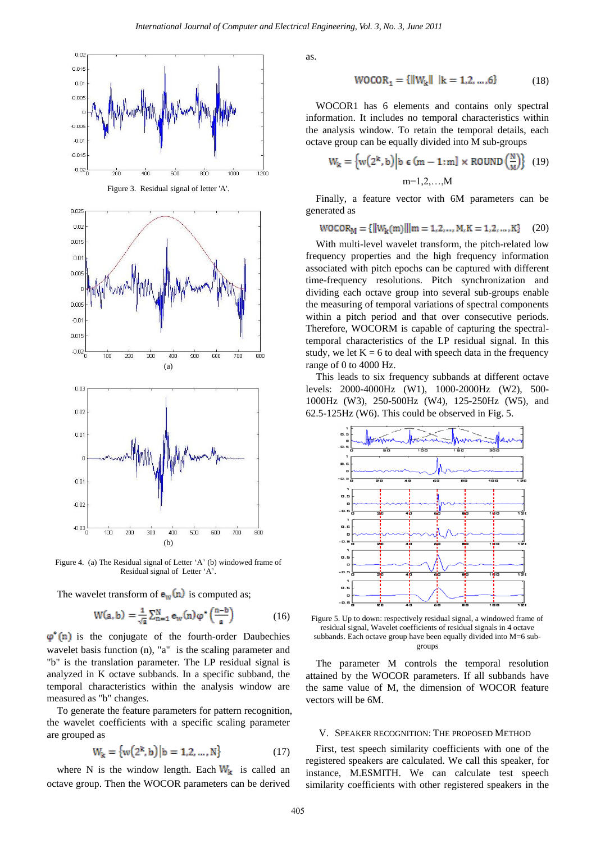

Figure 4. (a) The Residual signal of Letter 'A' (b) windowed frame of Residual signal of Letter "A".

The wavelet transform of  $e_w(n)$  is computed as;

$$
W(a, b) = \frac{1}{\sqrt{a}} \sum_{n=1}^{N} e_w(n) \varphi^* \left(\frac{n-b}{a}\right) \tag{16}
$$

 $\varphi$ <sup>\*</sup>(n) is the conjugate of the fourth-order Daubechies wavelet basis function (n), "a" is the scaling parameter and "b" is the translation parameter. The LP residual signal is analyzed in K octave subbands. In a specific subband, the temporal characteristics within the analysis window are measured as "b" changes.

To generate the feature parameters for pattern recognition, the wavelet coefficients with a specific scaling parameter are grouped as

$$
W_{k} = \{w(2^{k}, b) | b = 1, 2, ..., N\}
$$
 (17)

where N is the window length. Each  $W_k$  is called an octave group. Then the WOCOR parameters can be derived as.

$$
WOCOR_1 = {\left\{ ||W_k|| \middle| k = 1, 2, ..., 6 \right\}} \tag{18}
$$

WOCOR1 has 6 elements and contains only spectral information. It includes no temporal characteristics within the analysis window. To retain the temporal details, each octave group can be equally divided into M sub-groups

$$
W_{k} = \left\{ w(2^{k}, b) \middle| b \in (m - 1 : m] \times \text{ROUND} \left( \frac{N}{M} \right) \right\} \tag{19}
$$
  

$$
m=1, 2, ..., M
$$

Finally, a feature vector with 6M parameters can be generated as

$$
WOCOR_M = \{ ||W_k(m)|| || m = 1, 2, ..., M, K = 1, 2, ..., K \}
$$
 (20)

With multi-level wavelet transform, the pitch-related low frequency properties and the high frequency information associated with pitch epochs can be captured with different time-frequency resolutions. Pitch synchronization and dividing each octave group into several sub-groups enable the measuring of temporal variations of spectral components within a pitch period and that over consecutive periods. Therefore, WOCORM is capable of capturing the spectraltemporal characteristics of the LP residual signal. In this study, we let  $K = 6$  to deal with speech data in the frequency range of 0 to 4000 Hz.

This leads to six frequency subbands at different octave levels: 2000-4000Hz (W1), 1000-2000Hz (W2), 500- 1000Hz (W3), 250-500Hz (W4), 125-250Hz (W5), and 62.5-125Hz (W6). This could be observed in Fig. 5.



Figure 5. Up to down: respectively residual signal, a windowed frame of residual signal, Wavelet coefficients of residual signals in 4 octave subbands. Each octave group have been equally divided into M=6 subgroups

The parameter M controls the temporal resolution attained by the WOCOR parameters. If all subbands have the same value of M, the dimension of WOCOR feature vectors will be 6M.

### V. SPEAKER RECOGNITION: THE PROPOSED METHOD

First, test speech similarity coefficients with one of the registered speakers are calculated. We call this speaker, for instance, M.ESMITH. We can calculate test speech similarity coefficients with other registered speakers in the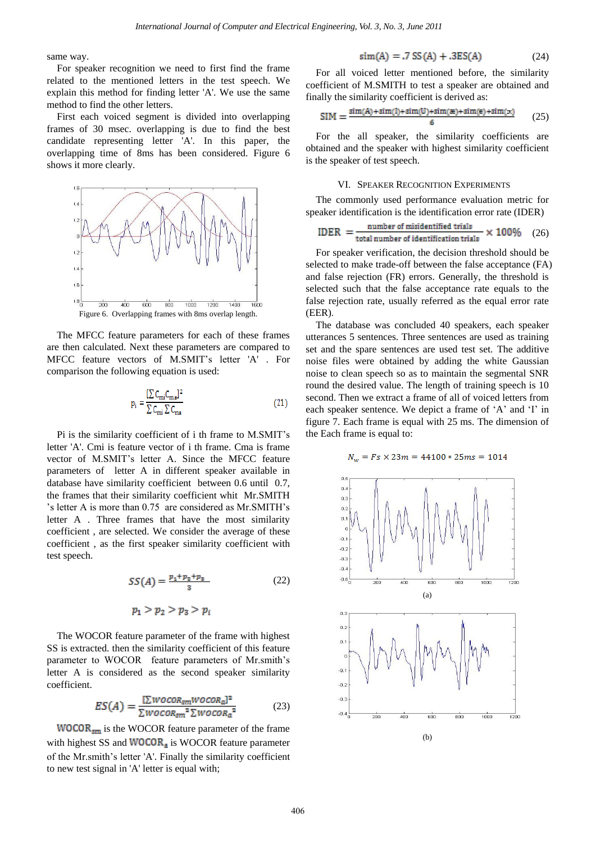same way.

For speaker recognition we need to first find the frame related to the mentioned letters in the test speech. We explain this method for finding letter 'A'. We use the same method to find the other letters.

First each voiced segment is divided into overlapping frames of 30 msec. overlapping is due to find the best candidate representing letter 'A'. In this paper, the overlapping time of 8ms has been considered. Figure 6 shows it more clearly.



The MFCC feature parameters for each of these frames are then calculated. Next these parameters are compared to MFCC feature vectors of M.SMIT"s letter 'A' . For comparison the following equation is used:

$$
p_i = \frac{\left[\sum C_{mi} C_{ma}\right]^2}{\sum C_{mi} \sum C_{ma}}
$$
\n(21)

Pi is the similarity coefficient of i th frame to M.SMIT"s letter 'A'. Cmi is feature vector of i th frame. Cma is frame vector of M.SMIT"s letter A. Since the MFCC feature parameters of letter A in different speaker available in database have similarity coefficient between 0.6 until 0.7, the frames that their similarity coefficient whit Mr.SMITH 's letter A is more than 0.75 are considered as Mr.SMITH"s letter A . Three frames that have the most similarity coefficient , are selected. We consider the average of these coefficient , as the first speaker similarity coefficient with test speech.

$$
SS(A) = \frac{p_1 + p_2 + p_3}{3} \tag{22}
$$

$$
p_1>p_2>p_3>p_i
$$

The WOCOR feature parameter of the frame with highest SS is extracted. then the similarity coefficient of this feature parameter to WOCOR feature parameters of Mr.smith's letter A is considered as the second speaker similarity coefficient.

$$
ES(A) = \frac{\left[\sum WOCOR_{sm}WOCOR_{a}\right]^{2}}{\sum WOCOR_{sm}^{2}\sum WOCOR_{a}^{2}}
$$
(23)

 $WOCOR<sub>sm</sub>$  is the WOCOR feature parameter of the frame with highest SS and  $WOCOR_a$  is WOCOR feature parameter of the Mr.smith"s letter 'A'. Finally the similarity coefficient to new test signal in 'A' letter is equal with;

$$
sim(A) = .7 SS(A) + .3ES(A)
$$
 (24)

For all voiced letter mentioned before, the similarity coefficient of M.SMITH to test a speaker are obtained and finally the similarity coefficient is derived as:

$$
SIM = \frac{\text{sim}(A) + \text{sim}(I) + \text{sim}(U) + \text{sim}(e) + \text{sim}(e) + \text{sim}(z)}{6}
$$
 (25)

For the all speaker, the similarity coefficients are obtained and the speaker with highest similarity coefficient is the speaker of test speech.

## VI. SPEAKER RECOGNITION EXPERIMENTS

The commonly used performance evaluation metric for speaker identification is the identification error rate (IDER)

$$
IDER = \frac{number\ of\ misidentified\ trials}{total\ number\ of\ identification\ trials} \times 100\% \quad (26)
$$

For speaker verification, the decision threshold should be selected to make trade-off between the false acceptance (FA) and false rejection (FR) errors. Generally, the threshold is selected such that the false acceptance rate equals to the false rejection rate, usually referred as the equal error rate (EER).

The database was concluded 40 speakers, each speaker utterances 5 sentences. Three sentences are used as training set and the spare sentences are used test set. The additive noise files were obtained by adding the white Gaussian noise to clean speech so as to maintain the segmental SNR round the desired value. The length of training speech is 10 second. Then we extract a frame of all of voiced letters from each speaker sentence. We depict a frame of 'A' and 'I' in figure 7. Each frame is equal with 25 ms. The dimension of the Each frame is equal to:

 $N_w = Fs \times 23m = 44100 * 25ms = 1014$ 

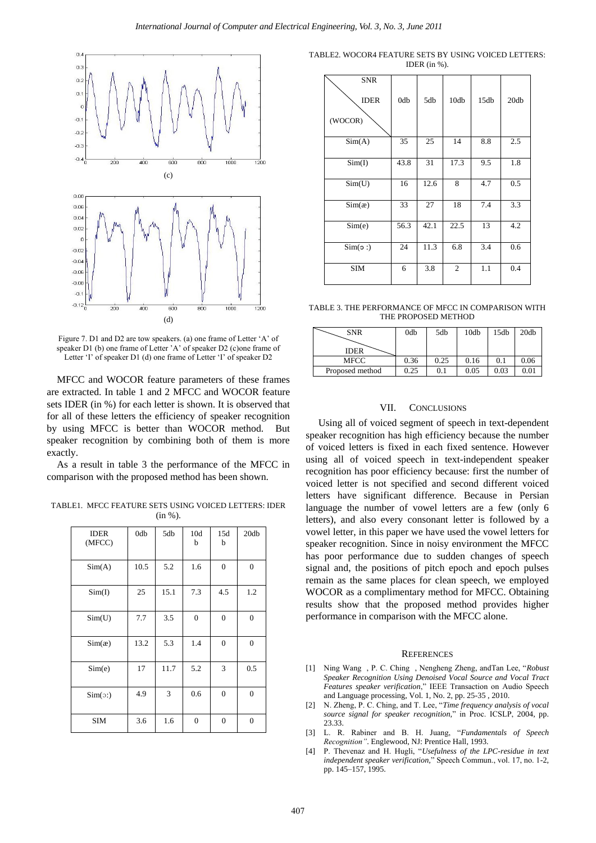

Figure 7. D1 and D2 are tow speakers. (a) one frame of Letter 'A' of speaker D1 (b) one frame of Letter 'A' of speaker D2 (c) one frame of Letter 'I' of speaker D1 (d) one frame of Letter 'I' of speaker D2

MFCC and WOCOR feature parameters of these frames are extracted. In table 1 and 2 MFCC and WOCOR feature sets IDER (in %) for each letter is shown. It is observed that for all of these letters the efficiency of speaker recognition by using MFCC is better than WOCOR method. But speaker recognition by combining both of them is more exactly.

As a result in table 3 the performance of the MFCC in comparison with the proposed method has been shown.

TABLE1. MFCC FEATURE SETS USING VOICED LETTERS: IDER  $(in %).$ 

| <b>IDER</b><br>(MFCC) | 0db  | 5db  | 10d<br>b         | 15d<br>b         | 20db             |
|-----------------------|------|------|------------------|------------------|------------------|
| Sim(A)                | 10.5 | 5.2  | 1.6              | $\boldsymbol{0}$ | $\boldsymbol{0}$ |
| Sim(I)                | 25   | 15.1 | 7.3              | 4.5              | 1.2              |
| Sim(U)                | 7.7  | 3.5  | $\boldsymbol{0}$ | $\boldsymbol{0}$ | $\boldsymbol{0}$ |
| Sim(x)                | 13.2 | 5.3  | 1.4              | $\mathbf{0}$     | $\mathbf{0}$     |
| Sim(e)                | 17   | 11.7 | 5.2              | 3                | 0.5              |
| $Sim(\circ)$          | 4.9  | 3    | 0.6              | $\mathbf{0}$     | $\boldsymbol{0}$ |
| <b>SIM</b>            | 3.6  | 1.6  | $\boldsymbol{0}$ | $\overline{0}$   | $\mathbf{0}$     |

TABLE2. WOCOR4 FEATURE SETS BY USING VOICED LETTERS: IDER (in %).

| <b>SNR</b><br><b>IDER</b><br>(WOCOR) | 0db  | 5db  | 10db           | 15db | 20db |
|--------------------------------------|------|------|----------------|------|------|
| Sim(A)                               | 35   | 25   | 14             | 8.8  | 2.5  |
| Sim(I)                               | 43.8 | 31   | 17.3           | 9.5  | 1.8  |
| Sim(U)                               | 16   | 12.6 | 8              | 4.7  | 0.5  |
| Sim(x)                               | 33   | 27   | 18             | 7.4  | 3.3  |
| Sim(e)                               | 56.3 | 42.1 | 22.5           | 13   | 4.2  |
| Sim(o: )                             | 24   | 11.3 | 6.8            | 3.4  | 0.6  |
| <b>SIM</b>                           | 6    | 3.8  | $\mathfrak{2}$ | 1.1  | 0.4  |

TABLE 3. THE PERFORMANCE OF MFCC IN COMPARISON WITH THE PROPOSED METHOD

| <b>SNR</b>      | 0db  | 5db  | 10db | 15db | 20db |
|-----------------|------|------|------|------|------|
|                 |      |      |      |      |      |
| <b>IDER</b>     |      |      |      |      |      |
| MFCC            | 0.36 | 0.25 | 0.16 | 0.1  | 0.06 |
| Proposed method | 0.25 | 0.1  | 0.05 | 0.03 | 0.01 |

## VII. CONCLUSIONS

 Using all of voiced segment of speech in text-dependent speaker recognition has high efficiency because the number of voiced letters is fixed in each fixed sentence. However using all of voiced speech in text-independent speaker recognition has poor efficiency because: first the number of voiced letter is not specified and second different voiced letters have significant difference. Because in Persian language the number of vowel letters are a few (only 6 letters), and also every consonant letter is followed by a vowel letter, in this paper we have used the vowel letters for speaker recognition. Since in noisy environment the MFCC has poor performance due to sudden changes of speech signal and, the positions of pitch epoch and epoch pulses remain as the same places for clean speech, we employed WOCOR as a complimentary method for MFCC. Obtaining results show that the proposed method provides higher performance in comparison with the MFCC alone.

#### **REFERENCES**

- [1] Ning Wang , P. C. Ching , Nengheng Zheng, andTan Lee, "*Robust Speaker Recognition Using Denoised Vocal Source and Vocal Tract Features speaker verification*," IEEE Transaction on Audio Speech and Language processing, Vol. 1, No. 2, pp. 25-35 , 2010.
- [2] N. Zheng, P. C. Ching, and T. Lee, "*Time frequency analysis of vocal source signal for speaker recognition,*" in Proc. ICSLP, 2004, pp. 23.33.
- [3] L. R. Rabiner and B. H. Juang, "*Fundamentals of Speech Recognition"*. Englewood, NJ: Prentice Hall, 1993.
- [4] P. Thevenaz and H. Hugli, "*Usefulness of the LPC-residue in text independent speaker verification,*" Speech Commun., vol. 17, no. 1-2, pp. 145–157, 1995.